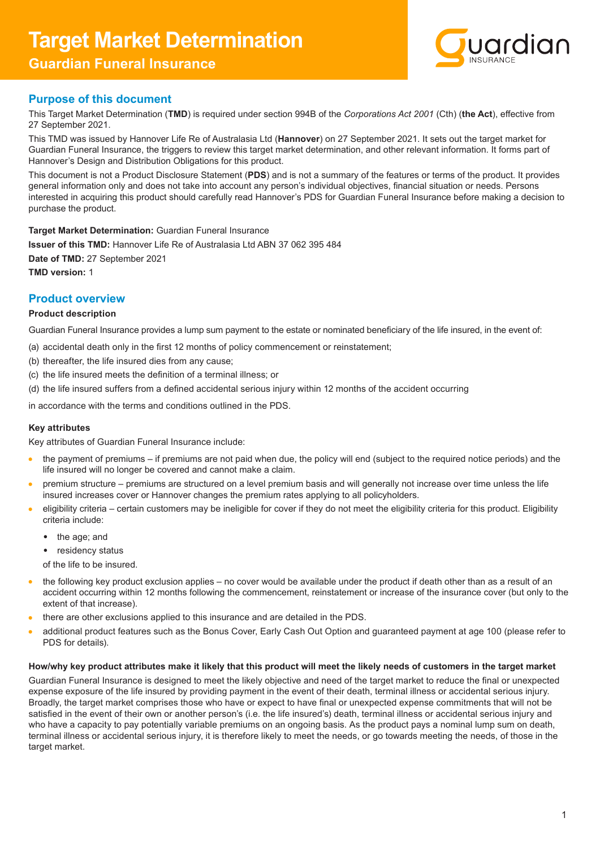# **Target Market Determination**

## **Guardian Funeral Insurance**



## **Purpose of this document**

This Target Market Determination (**TMD**) is required under section 994B of the *Corporations Act 2001* (Cth) (**the Act**), effective from 27 September 2021.

This TMD was issued by Hannover Life Re of Australasia Ltd (**Hannover**) on 27 September 2021. It sets out the target market for Guardian Funeral Insurance, the triggers to review this target market determination, and other relevant information. It forms part of Hannover's Design and Distribution Obligations for this product.

This document is not a Product Disclosure Statement (**PDS**) and is not a summary of the features or terms of the product. It provides general information only and does not take into account any person's individual objectives, financial situation or needs. Persons interested in acquiring this product should carefully read Hannover's PDS for Guardian Funeral Insurance before making a decision to purchase the product.

#### **Target Market Determination:** Guardian Funeral Insurance

**Issuer of this TMD:** Hannover Life Re of Australasia Ltd ABN 37 062 395 484 **Date of TMD:** 27 September 2021 **TMD version:** 1

### **Product overview**

#### **Product description**

Guardian Funeral Insurance provides a lump sum payment to the estate or nominated beneficiary of the life insured, in the event of:

- (a) accidental death only in the first 12 months of policy commencement or reinstatement;
- (b) thereafter, the life insured dies from any cause;
- (c) the life insured meets the definition of a terminal illness; or
- (d) the life insured suffers from a defined accidental serious injury within 12 months of the accident occurring

in accordance with the terms and conditions outlined in the PDS.

#### **Key attributes**

Key attributes of Guardian Funeral Insurance include:

- $\bullet$ the payment of premiums – if premiums are not paid when due, the policy will end (subject to the required notice periods) and the life insured will no longer be covered and cannot make a claim.
- premium structure premiums are structured on a level premium basis and will generally not increase over time unless the life insured increases cover or Hannover changes the premium rates applying to all policyholders.
- eligibility criteria certain customers may be ineligible for cover if they do not meet the eligibility criteria for this product. Eligibility  $\bullet$ criteria include:
	- the age; and
	- residency status
	- of the life to be insured.
- the following key product exclusion applies no cover would be available under the product if death other than as a result of an  $\bullet$ accident occurring within 12 months following the commencement, reinstatement or increase of the insurance cover (but only to the extent of that increase).
- there are other exclusions applied to this insurance and are detailed in the PDS.
- additional product features such as the Bonus Cover, Early Cash Out Option and guaranteed payment at age 100 (please refer to PDS for details).

#### **How/why key product attributes make it likely that this product will meet the likely needs of customers in the target market**

Guardian Funeral Insurance is designed to meet the likely objective and need of the target market to reduce the final or unexpected expense exposure of the life insured by providing payment in the event of their death, terminal illness or accidental serious injury. Broadly, the target market comprises those who have or expect to have final or unexpected expense commitments that will not be satisfied in the event of their own or another person's (i.e. the life insured's) death, terminal illness or accidental serious injury and who have a capacity to pay potentially variable premiums on an ongoing basis. As the product pays a nominal lump sum on death, terminal illness or accidental serious injury, it is therefore likely to meet the needs, or go towards meeting the needs, of those in the target market.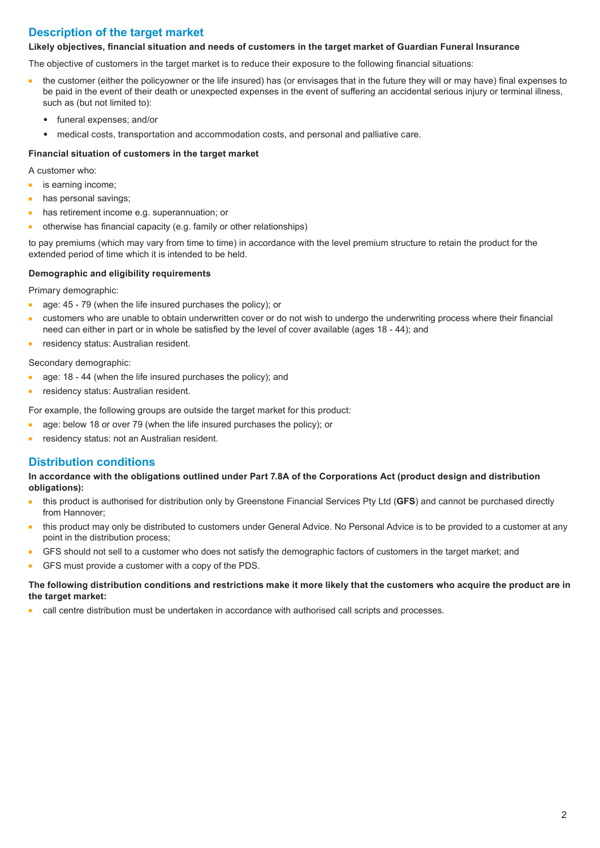## **Description of the target market**

#### **Likely objectives, financial situation and needs of customers in the target market of Guardian Funeral Insurance**

The objective of customers in the target market is to reduce their exposure to the following financial situations:

- $\bullet$ the customer (either the policyowner or the life insured) has (or envisages that in the future they will or may have) final expenses to be paid in the event of their death or unexpected expenses in the event of suffering an accidental serious injury or terminal illness, such as (but not limited to):
	- funeral expenses; and/or
	- medical costs, transportation and accommodation costs, and personal and palliative care.

#### **Financial situation of customers in the target market**

A customer who:

- is earning income;  $\bullet$
- has personal savings;  $\bullet$
- has retirement income e.g. superannuation; or  $\bullet$
- otherwise has financial capacity (e.g. family or other relationships)

to pay premiums (which may vary from time to time) in accordance with the level premium structure to retain the product for the extended period of time which it is intended to be held.

#### **Demographic and eligibility requirements**

Primary demographic:

- age: 45 79 (when the life insured purchases the policy); or
- customers who are unable to obtain underwritten cover or do not wish to undergo the underwriting process where their financial  $\bullet$ need can either in part or in whole be satisfied by the level of cover available (ages 18 - 44); and
- residency status: Australian resident.  $\bullet$

Secondary demographic:

- $\bullet$ age: 18 - 44 (when the life insured purchases the policy); and
- residency status: Australian resident.  $\bullet$

For example, the following groups are outside the target market for this product:

- age: below 18 or over 79 (when the life insured purchases the policy); or  $\bullet$
- residency status: not an Australian resident.  $\bullet$

#### **Distribution conditions**

**In accordance with the obligations outlined under Part 7.8A of the Corporations Act (product design and distribution obligations):**

- this product is authorised for distribution only by Greenstone Financial Services Pty Ltd (**GFS**) and cannot be purchased directly  $\bullet$ from Hannover;
- $\bullet$ this product may only be distributed to customers under General Advice. No Personal Advice is to be provided to a customer at any point in the distribution process;
- GFS should not sell to a customer who does not satisfy the demographic factors of customers in the target market; and  $\bullet$
- GFS must provide a customer with a copy of the PDS.

#### **The following distribution conditions and restrictions make it more likely that the customers who acquire the product are in the target market:**

call centre distribution must be undertaken in accordance with authorised call scripts and processes.